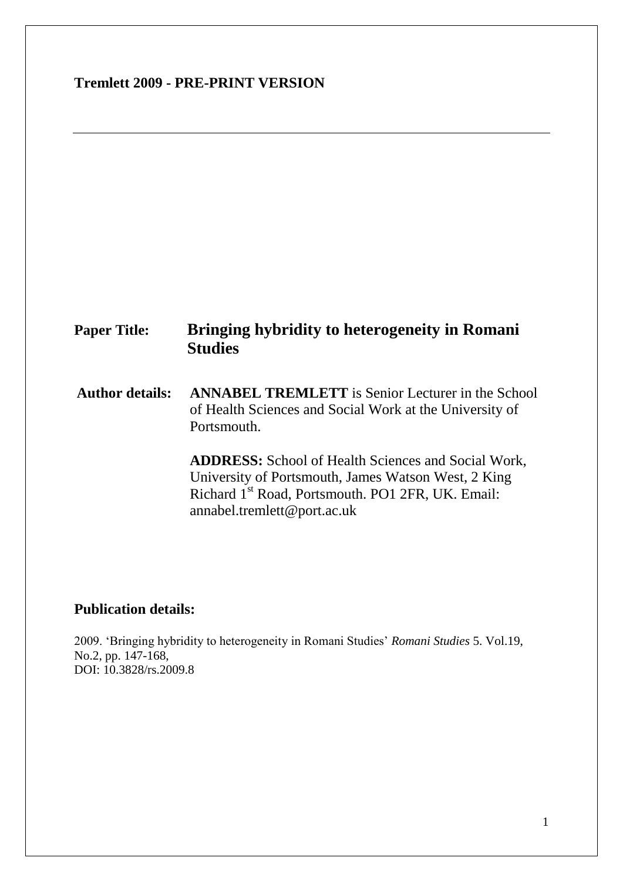# **Tremlett 2009 - PRE-PRINT VERSION**

# **Paper Title: Bringing hybridity to heterogeneity in Romani Studies**

**Author details: ANNABEL TREMLETT** is Senior Lecturer in the School of Health Sciences and Social Work at the University of Portsmouth.

> **ADDRESS:** School of Health Sciences and Social Work, University of Portsmouth, James Watson West, 2 King Richard 1st Road, Portsmouth. PO1 2FR, UK. Email: annabel.tremlett@port.ac.uk

## **Publication details:**

2009. "Bringing hybridity to heterogeneity in Romani Studies" *Romani Studies* 5. Vol.19, No.2, pp. 147-168, DOI: 10.3828/rs.2009.8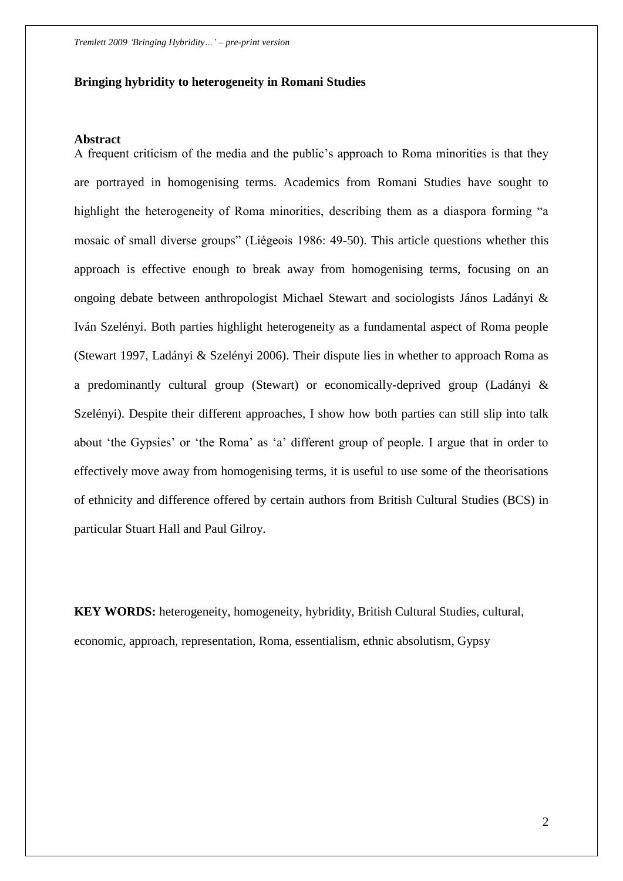## **Bringing hybridity to heterogeneity in Romani Studies**

#### **Abstract**

A frequent criticism of the media and the public"s approach to Roma minorities is that they are portrayed in homogenising terms. Academics from Romani Studies have sought to highlight the heterogeneity of Roma minorities, describing them as a diaspora forming "a mosaic of small diverse groups" (Liégeois 1986: 49-50). This article questions whether this approach is effective enough to break away from homogenising terms, focusing on an ongoing debate between anthropologist Michael Stewart and sociologists János Ladányi & Iván Szelényi. Both parties highlight heterogeneity as a fundamental aspect of Roma people (Stewart 1997, Ladányi & Szelényi 2006). Their dispute lies in whether to approach Roma as a predominantly cultural group (Stewart) or economically-deprived group (Ladányi & Szelényi). Despite their different approaches, I show how both parties can still slip into talk about 'the Gypsies' or 'the Roma' as 'a' different group of people. I argue that in order to effectively move away from homogenising terms, it is useful to use some of the theorisations of ethnicity and difference offered by certain authors from British Cultural Studies (BCS) in particular Stuart Hall and Paul Gilroy.

**KEY WORDS:** heterogeneity, homogeneity, hybridity, British Cultural Studies, cultural, economic, approach, representation, Roma, essentialism, ethnic absolutism, Gypsy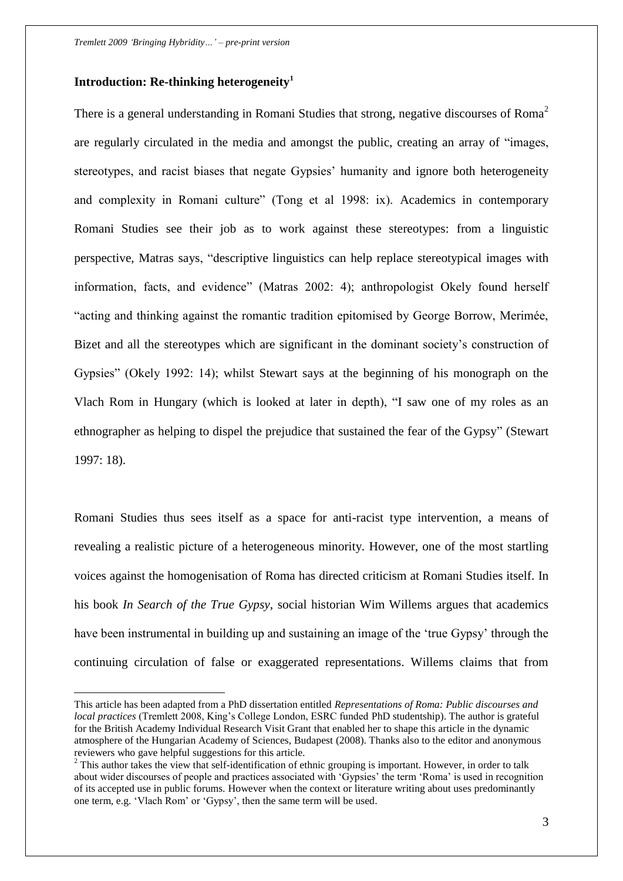## **Introduction: Re-thinking heterogeneity<sup>1</sup>**

 $\overline{a}$ 

There is a general understanding in Romani Studies that strong, negative discourses of Roma<sup>2</sup> are regularly circulated in the media and amongst the public, creating an array of "images, stereotypes, and racist biases that negate Gypsies" humanity and ignore both heterogeneity and complexity in Romani culture" (Tong et al 1998: ix). Academics in contemporary Romani Studies see their job as to work against these stereotypes: from a linguistic perspective, Matras says, "descriptive linguistics can help replace stereotypical images with information, facts, and evidence" (Matras 2002: 4); anthropologist Okely found herself "acting and thinking against the romantic tradition epitomised by George Borrow, Merimée, Bizet and all the stereotypes which are significant in the dominant society's construction of Gypsies" (Okely 1992: 14); whilst Stewart says at the beginning of his monograph on the Vlach Rom in Hungary (which is looked at later in depth), "I saw one of my roles as an ethnographer as helping to dispel the prejudice that sustained the fear of the Gypsy" (Stewart 1997: 18).

Romani Studies thus sees itself as a space for anti-racist type intervention, a means of revealing a realistic picture of a heterogeneous minority. However, one of the most startling voices against the homogenisation of Roma has directed criticism at Romani Studies itself. In his book *In Search of the True Gypsy*, social historian Wim Willems argues that academics have been instrumental in building up and sustaining an image of the "true Gypsy" through the continuing circulation of false or exaggerated representations. Willems claims that from

This article has been adapted from a PhD dissertation entitled *Representations of Roma: Public discourses and local practices* (Tremlett 2008, King's College London, ESRC funded PhD studentship). The author is grateful for the British Academy Individual Research Visit Grant that enabled her to shape this article in the dynamic atmosphere of the Hungarian Academy of Sciences, Budapest (2008). Thanks also to the editor and anonymous reviewers who gave helpful suggestions for this article.

 $2^2$  This author takes the view that self-identification of ethnic grouping is important. However, in order to talk about wider discourses of people and practices associated with 'Gypsies' the term 'Roma' is used in recognition of its accepted use in public forums. However when the context or literature writing about uses predominantly one term, e.g. "Vlach Rom" or "Gypsy", then the same term will be used.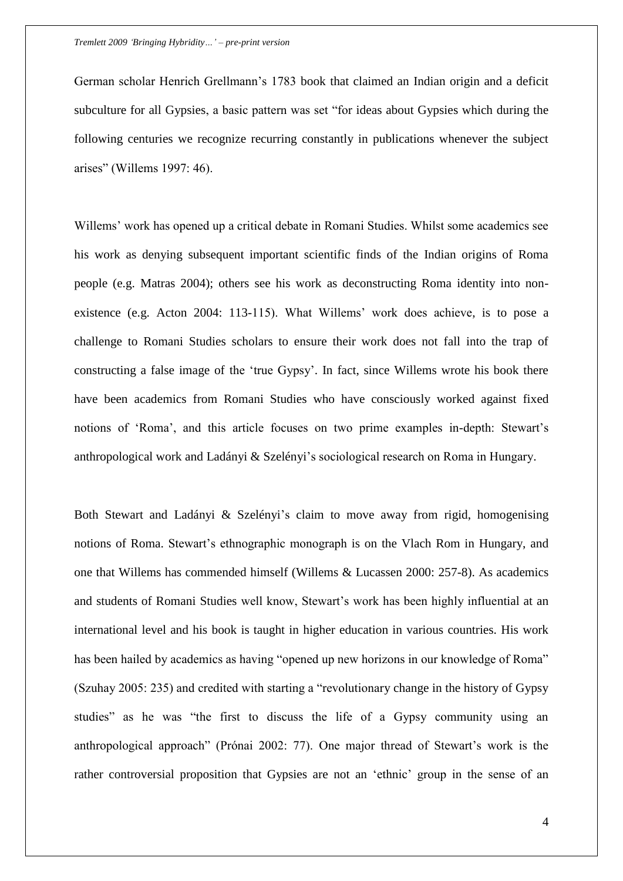German scholar Henrich Grellmann"s 1783 book that claimed an Indian origin and a deficit subculture for all Gypsies, a basic pattern was set "for ideas about Gypsies which during the following centuries we recognize recurring constantly in publications whenever the subject arises" (Willems 1997: 46).

Willems" work has opened up a critical debate in Romani Studies. Whilst some academics see his work as denying subsequent important scientific finds of the Indian origins of Roma people (e.g. Matras 2004); others see his work as deconstructing Roma identity into nonexistence (e.g. Acton 2004: 113-115). What Willems" work does achieve, is to pose a challenge to Romani Studies scholars to ensure their work does not fall into the trap of constructing a false image of the "true Gypsy". In fact, since Willems wrote his book there have been academics from Romani Studies who have consciously worked against fixed notions of 'Roma', and this article focuses on two prime examples in-depth: Stewart's anthropological work and Ladányi & Szelényi"s sociological research on Roma in Hungary.

Both Stewart and Ladányi & Szelényi's claim to move away from rigid, homogenising notions of Roma. Stewart's ethnographic monograph is on the Vlach Rom in Hungary, and one that Willems has commended himself (Willems & Lucassen 2000: 257-8). As academics and students of Romani Studies well know, Stewart's work has been highly influential at an international level and his book is taught in higher education in various countries. His work has been hailed by academics as having "opened up new horizons in our knowledge of Roma" (Szuhay 2005: 235) and credited with starting a "revolutionary change in the history of Gypsy studies" as he was "the first to discuss the life of a Gypsy community using an anthropological approach" (Prónai 2002: 77). One major thread of Stewart's work is the rather controversial proposition that Gypsies are not an "ethnic" group in the sense of an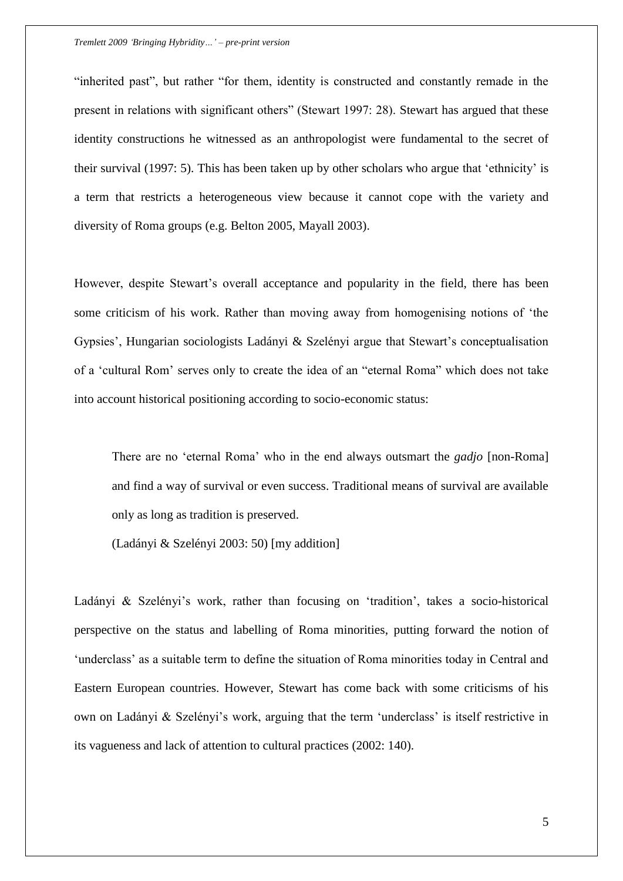"inherited past", but rather "for them, identity is constructed and constantly remade in the present in relations with significant others" (Stewart 1997: 28). Stewart has argued that these identity constructions he witnessed as an anthropologist were fundamental to the secret of their survival (1997: 5). This has been taken up by other scholars who argue that "ethnicity" is a term that restricts a heterogeneous view because it cannot cope with the variety and diversity of Roma groups (e.g. Belton 2005, Mayall 2003).

However, despite Stewart's overall acceptance and popularity in the field, there has been some criticism of his work. Rather than moving away from homogenising notions of "the Gypsies", Hungarian sociologists Ladányi & Szelényi argue that Stewart"s conceptualisation of a "cultural Rom" serves only to create the idea of an "eternal Roma" which does not take into account historical positioning according to socio-economic status:

There are no "eternal Roma" who in the end always outsmart the *gadjo* [non-Roma] and find a way of survival or even success. Traditional means of survival are available only as long as tradition is preserved.

(Ladányi & Szelényi 2003: 50) [my addition]

Ladányi & Szelényi's work, rather than focusing on 'tradition', takes a socio-historical perspective on the status and labelling of Roma minorities, putting forward the notion of 'underclass' as a suitable term to define the situation of Roma minorities today in Central and Eastern European countries. However, Stewart has come back with some criticisms of his own on Ladányi & Szelényi"s work, arguing that the term "underclass" is itself restrictive in its vagueness and lack of attention to cultural practices (2002: 140).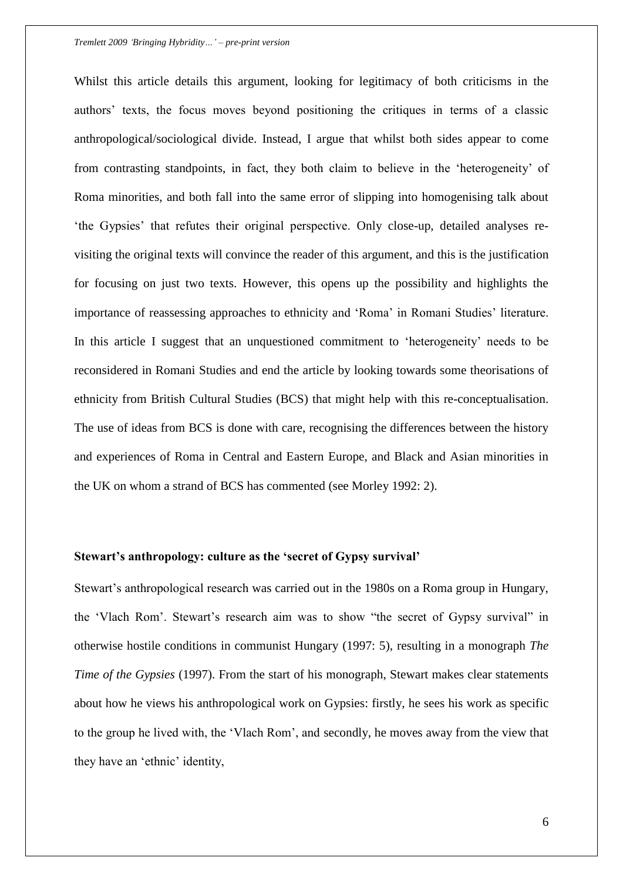Whilst this article details this argument, looking for legitimacy of both criticisms in the authors" texts, the focus moves beyond positioning the critiques in terms of a classic anthropological/sociological divide. Instead, I argue that whilst both sides appear to come from contrasting standpoints, in fact, they both claim to believe in the "heterogeneity" of Roma minorities, and both fall into the same error of slipping into homogenising talk about "the Gypsies" that refutes their original perspective. Only close-up, detailed analyses revisiting the original texts will convince the reader of this argument, and this is the justification for focusing on just two texts. However, this opens up the possibility and highlights the importance of reassessing approaches to ethnicity and "Roma" in Romani Studies" literature. In this article I suggest that an unquestioned commitment to 'heterogeneity' needs to be reconsidered in Romani Studies and end the article by looking towards some theorisations of ethnicity from British Cultural Studies (BCS) that might help with this re-conceptualisation. The use of ideas from BCS is done with care, recognising the differences between the history and experiences of Roma in Central and Eastern Europe, and Black and Asian minorities in the UK on whom a strand of BCS has commented (see Morley 1992: 2).

## **Stewart's anthropology: culture as the 'secret of Gypsy survival'**

Stewart's anthropological research was carried out in the 1980s on a Roma group in Hungary, the 'Vlach Rom'. Stewart's research aim was to show "the secret of Gypsy survival" in otherwise hostile conditions in communist Hungary (1997: 5), resulting in a monograph *The Time of the Gypsies* (1997). From the start of his monograph, Stewart makes clear statements about how he views his anthropological work on Gypsies: firstly, he sees his work as specific to the group he lived with, the "Vlach Rom", and secondly, he moves away from the view that they have an "ethnic" identity,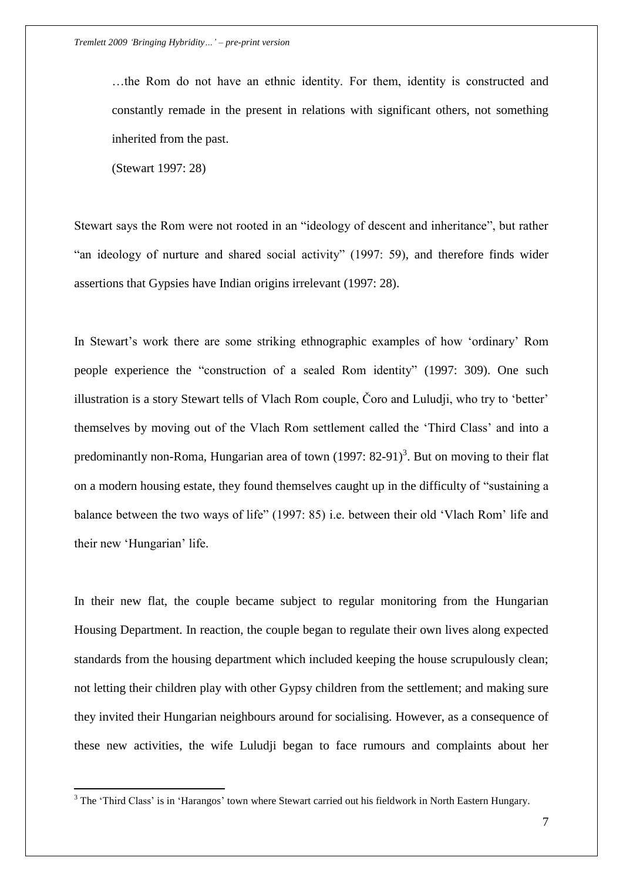…the Rom do not have an ethnic identity. For them, identity is constructed and constantly remade in the present in relations with significant others, not something inherited from the past.

(Stewart 1997: 28)

 $\overline{a}$ 

Stewart says the Rom were not rooted in an "ideology of descent and inheritance", but rather "an ideology of nurture and shared social activity" (1997: 59), and therefore finds wider assertions that Gypsies have Indian origins irrelevant (1997: 28).

In Stewart's work there are some striking ethnographic examples of how 'ordinary' Rom people experience the "construction of a sealed Rom identity" (1997: 309). One such illustration is a story Stewart tells of Vlach Rom couple, Čoro and Luludji, who try to "better" themselves by moving out of the Vlach Rom settlement called the "Third Class" and into a predominantly non-Roma, Hungarian area of town  $(1997: 82-91)^3$ . But on moving to their flat on a modern housing estate, they found themselves caught up in the difficulty of "sustaining a balance between the two ways of life" (1997: 85) i.e. between their old "Vlach Rom" life and their new 'Hungarian' life.

In their new flat, the couple became subject to regular monitoring from the Hungarian Housing Department. In reaction, the couple began to regulate their own lives along expected standards from the housing department which included keeping the house scrupulously clean; not letting their children play with other Gypsy children from the settlement; and making sure they invited their Hungarian neighbours around for socialising. However, as a consequence of these new activities, the wife Luludji began to face rumours and complaints about her

<sup>&</sup>lt;sup>3</sup> The 'Third Class' is in 'Harangos' town where Stewart carried out his fieldwork in North Eastern Hungary.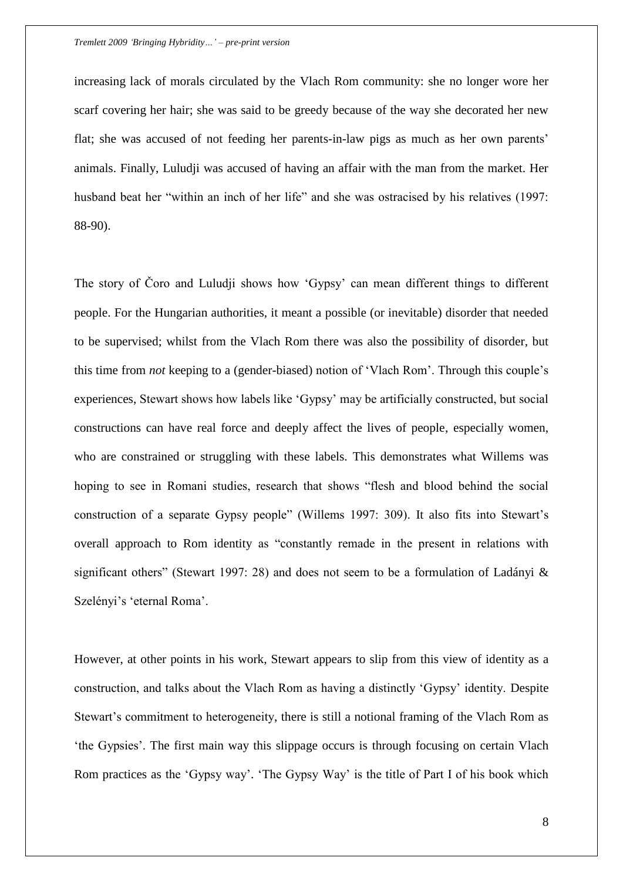increasing lack of morals circulated by the Vlach Rom community: she no longer wore her scarf covering her hair; she was said to be greedy because of the way she decorated her new flat; she was accused of not feeding her parents-in-law pigs as much as her own parents' animals. Finally, Luludji was accused of having an affair with the man from the market. Her husband beat her "within an inch of her life" and she was ostracised by his relatives (1997: 88-90).

The story of Čoro and Luludji shows how "Gypsy" can mean different things to different people. For the Hungarian authorities, it meant a possible (or inevitable) disorder that needed to be supervised; whilst from the Vlach Rom there was also the possibility of disorder, but this time from *not* keeping to a (gender-biased) notion of 'Vlach Rom'. Through this couple's experiences, Stewart shows how labels like "Gypsy" may be artificially constructed, but social constructions can have real force and deeply affect the lives of people, especially women, who are constrained or struggling with these labels. This demonstrates what Willems was hoping to see in Romani studies, research that shows "flesh and blood behind the social construction of a separate Gypsy people" (Willems 1997: 309). It also fits into Stewart"s overall approach to Rom identity as "constantly remade in the present in relations with significant others" (Stewart 1997: 28) and does not seem to be a formulation of Ladányi  $\&$ Szelényi's 'eternal Roma'.

However, at other points in his work, Stewart appears to slip from this view of identity as a construction, and talks about the Vlach Rom as having a distinctly "Gypsy" identity. Despite Stewart's commitment to heterogeneity, there is still a notional framing of the Vlach Rom as "the Gypsies". The first main way this slippage occurs is through focusing on certain Vlach Rom practices as the 'Gypsy way'. 'The Gypsy Way' is the title of Part I of his book which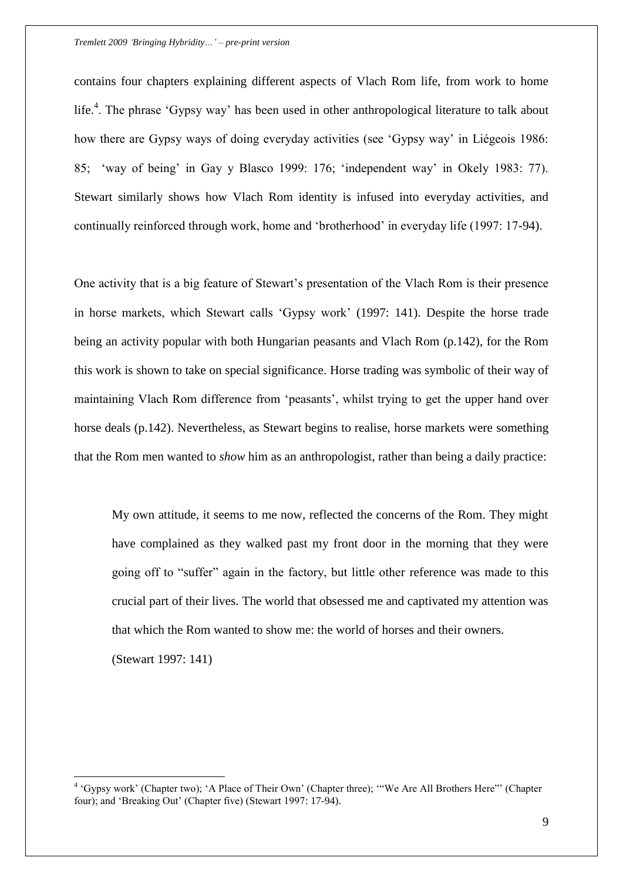contains four chapters explaining different aspects of Vlach Rom life, from work to home life.<sup>4</sup>. The phrase 'Gypsy way' has been used in other anthropological literature to talk about how there are Gypsy ways of doing everyday activities (see "Gypsy way" in Liégeois 1986: 85; "way of being" in Gay y Blasco 1999: 176; "independent way" in Okely 1983: 77). Stewart similarly shows how Vlach Rom identity is infused into everyday activities, and continually reinforced through work, home and "brotherhood" in everyday life (1997: 17-94).

One activity that is a big feature of Stewart's presentation of the Vlach Rom is their presence in horse markets, which Stewart calls "Gypsy work" (1997: 141). Despite the horse trade being an activity popular with both Hungarian peasants and Vlach Rom (p.142), for the Rom this work is shown to take on special significance. Horse trading was symbolic of their way of maintaining Vlach Rom difference from "peasants", whilst trying to get the upper hand over horse deals (p.142). Nevertheless, as Stewart begins to realise, horse markets were something that the Rom men wanted to *show* him as an anthropologist, rather than being a daily practice:

My own attitude, it seems to me now, reflected the concerns of the Rom. They might have complained as they walked past my front door in the morning that they were going off to "suffer" again in the factory, but little other reference was made to this crucial part of their lives. The world that obsessed me and captivated my attention was that which the Rom wanted to show me: the world of horses and their owners.

(Stewart 1997: 141)

 $\overline{a}$ 

<sup>&</sup>lt;sup>4</sup> 'Gypsy work' (Chapter two); 'A Place of Their Own' (Chapter three); "'We Are All Brothers Here"' (Chapter four); and 'Breaking Out' (Chapter five) (Stewart 1997: 17-94).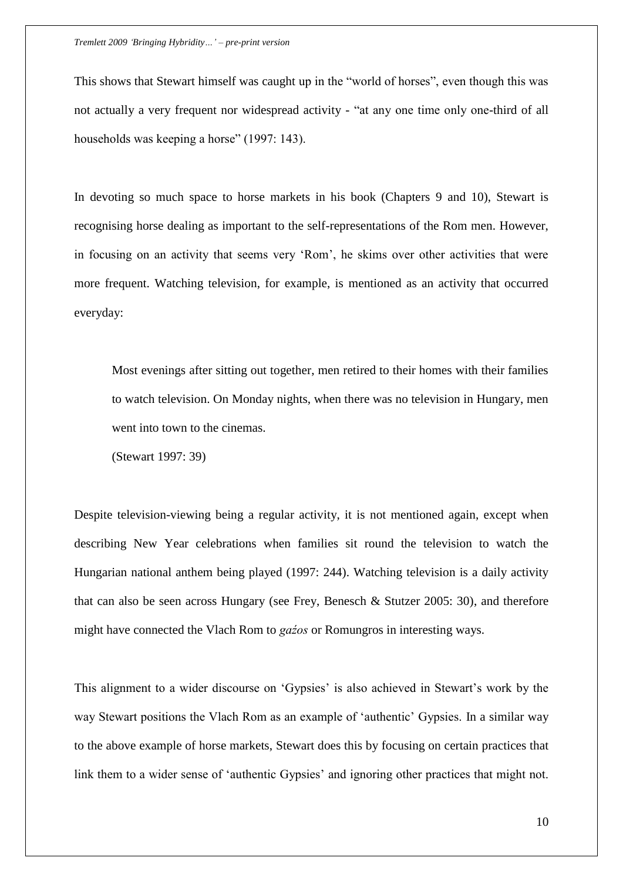This shows that Stewart himself was caught up in the "world of horses", even though this was not actually a very frequent nor widespread activity - "at any one time only one-third of all households was keeping a horse" (1997: 143).

In devoting so much space to horse markets in his book (Chapters 9 and 10), Stewart is recognising horse dealing as important to the self-representations of the Rom men. However, in focusing on an activity that seems very "Rom", he skims over other activities that were more frequent. Watching television, for example, is mentioned as an activity that occurred everyday:

Most evenings after sitting out together, men retired to their homes with their families to watch television. On Monday nights, when there was no television in Hungary, men went into town to the cinemas.

(Stewart 1997: 39)

Despite television-viewing being a regular activity, it is not mentioned again, except when describing New Year celebrations when families sit round the television to watch the Hungarian national anthem being played (1997: 244). Watching television is a daily activity that can also be seen across Hungary (see Frey, Benesch & Stutzer 2005: 30), and therefore might have connected the Vlach Rom to *gaźos* or Romungros in interesting ways.

This alignment to a wider discourse on 'Gypsies' is also achieved in Stewart's work by the way Stewart positions the Vlach Rom as an example of "authentic" Gypsies. In a similar way to the above example of horse markets, Stewart does this by focusing on certain practices that link them to a wider sense of 'authentic Gypsies' and ignoring other practices that might not.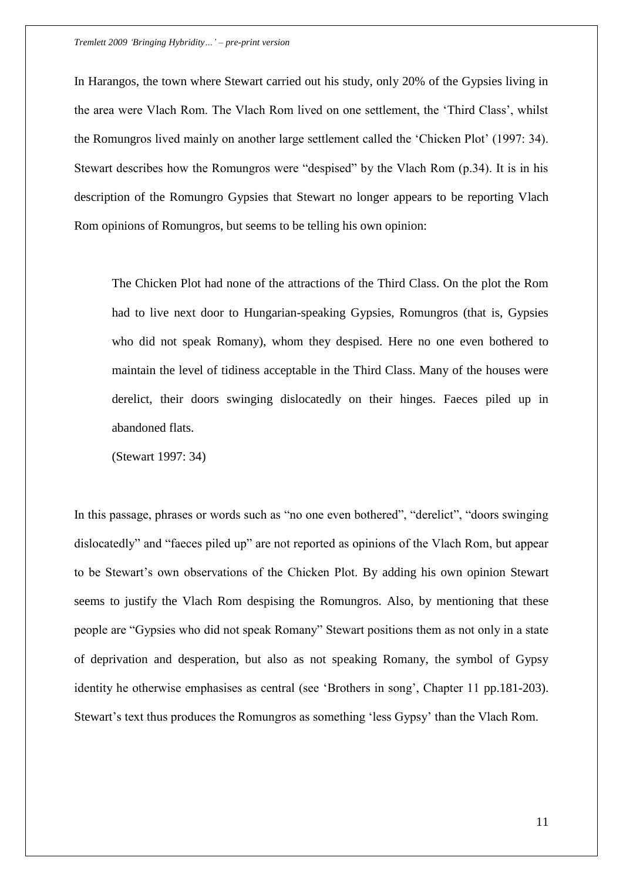In Harangos, the town where Stewart carried out his study, only 20% of the Gypsies living in the area were Vlach Rom. The Vlach Rom lived on one settlement, the "Third Class", whilst the Romungros lived mainly on another large settlement called the "Chicken Plot" (1997: 34). Stewart describes how the Romungros were "despised" by the Vlach Rom (p.34). It is in his description of the Romungro Gypsies that Stewart no longer appears to be reporting Vlach Rom opinions of Romungros, but seems to be telling his own opinion:

The Chicken Plot had none of the attractions of the Third Class. On the plot the Rom had to live next door to Hungarian-speaking Gypsies, Romungros (that is, Gypsies who did not speak Romany), whom they despised. Here no one even bothered to maintain the level of tidiness acceptable in the Third Class. Many of the houses were derelict, their doors swinging dislocatedly on their hinges. Faeces piled up in abandoned flats.

(Stewart 1997: 34)

In this passage, phrases or words such as "no one even bothered", "derelict", "doors swinging dislocatedly" and "faeces piled up" are not reported as opinions of the Vlach Rom, but appear to be Stewart"s own observations of the Chicken Plot. By adding his own opinion Stewart seems to justify the Vlach Rom despising the Romungros. Also, by mentioning that these people are "Gypsies who did not speak Romany" Stewart positions them as not only in a state of deprivation and desperation, but also as not speaking Romany, the symbol of Gypsy identity he otherwise emphasises as central (see 'Brothers in song', Chapter 11 pp.181-203). Stewart's text thus produces the Romungros as something 'less Gypsy' than the Vlach Rom.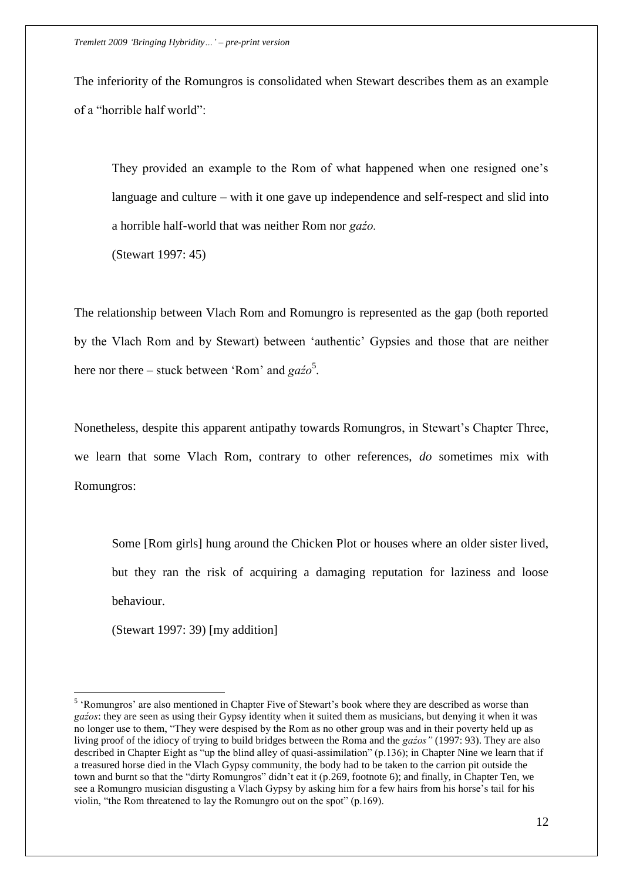The inferiority of the Romungros is consolidated when Stewart describes them as an example of a "horrible half world":

They provided an example to the Rom of what happened when one resigned one"s language and culture – with it one gave up independence and self-respect and slid into a horrible half-world that was neither Rom nor *gaźo.*

(Stewart 1997: 45)

The relationship between Vlach Rom and Romungro is represented as the gap (both reported by the Vlach Rom and by Stewart) between "authentic" Gypsies and those that are neither here nor there – stuck between 'Rom' and *gażo*<sup>5</sup>.

Nonetheless, despite this apparent antipathy towards Romungros, in Stewart's Chapter Three, we learn that some Vlach Rom, contrary to other references, *do* sometimes mix with Romungros:

Some [Rom girls] hung around the Chicken Plot or houses where an older sister lived, but they ran the risk of acquiring a damaging reputation for laziness and loose behaviour.

(Stewart 1997: 39) [my addition]

 $\overline{a}$ 

<sup>&</sup>lt;sup>5</sup> 'Romungros' are also mentioned in Chapter Five of Stewart's book where they are described as worse than *gaźos*: they are seen as using their Gypsy identity when it suited them as musicians, but denying it when it was no longer use to them, "They were despised by the Rom as no other group was and in their poverty held up as living proof of the idiocy of trying to build bridges between the Roma and the *gaźos"* (1997: 93). They are also described in Chapter Eight as "up the blind alley of quasi-assimilation" (p.136); in Chapter Nine we learn that if a treasured horse died in the Vlach Gypsy community, the body had to be taken to the carrion pit outside the town and burnt so that the "dirty Romungros" didn"t eat it (p.269, footnote 6); and finally, in Chapter Ten, we see a Romungro musician disgusting a Vlach Gypsy by asking him for a few hairs from his horse's tail for his violin, "the Rom threatened to lay the Romungro out on the spot" (p.169).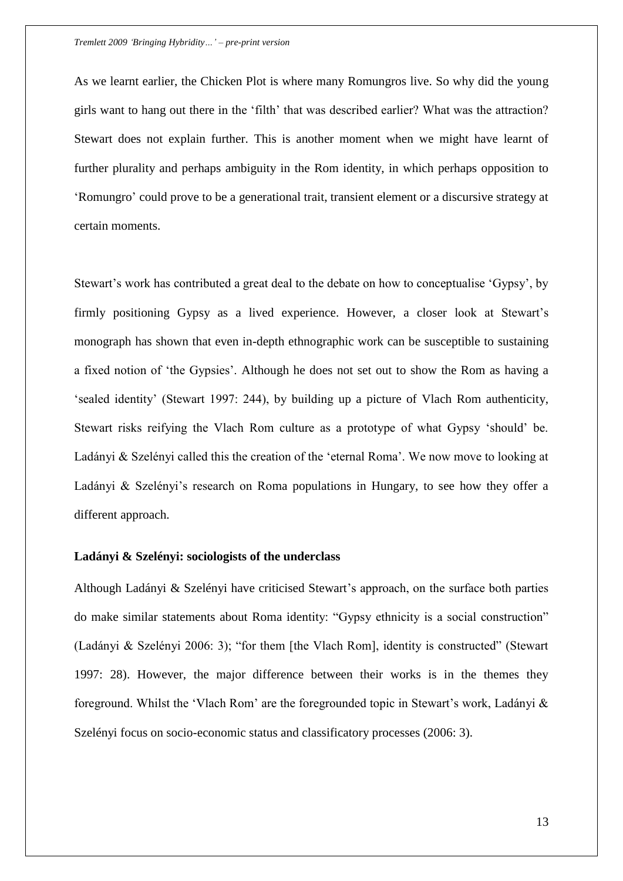As we learnt earlier, the Chicken Plot is where many Romungros live. So why did the young girls want to hang out there in the "filth" that was described earlier? What was the attraction? Stewart does not explain further. This is another moment when we might have learnt of further plurality and perhaps ambiguity in the Rom identity, in which perhaps opposition to "Romungro" could prove to be a generational trait, transient element or a discursive strategy at certain moments.

Stewart's work has contributed a great deal to the debate on how to conceptualise 'Gypsy', by firmly positioning Gypsy as a lived experience. However, a closer look at Stewart's monograph has shown that even in-depth ethnographic work can be susceptible to sustaining a fixed notion of "the Gypsies". Although he does not set out to show the Rom as having a "sealed identity" (Stewart 1997: 244), by building up a picture of Vlach Rom authenticity, Stewart risks reifying the Vlach Rom culture as a prototype of what Gypsy "should" be. Ladányi & Szelényi called this the creation of the "eternal Roma". We now move to looking at Ladányi & Szelényi's research on Roma populations in Hungary, to see how they offer a different approach.

## **Ladányi & Szelényi: sociologists of the underclass**

Although Ladányi & Szelényi have criticised Stewart's approach, on the surface both parties do make similar statements about Roma identity: "Gypsy ethnicity is a social construction" (Ladányi & Szelényi 2006: 3); "for them [the Vlach Rom], identity is constructed" (Stewart 1997: 28). However, the major difference between their works is in the themes they foreground. Whilst the 'Vlach Rom' are the foregrounded topic in Stewart's work, Ladányi  $\&$ Szelényi focus on socio-economic status and classificatory processes (2006: 3).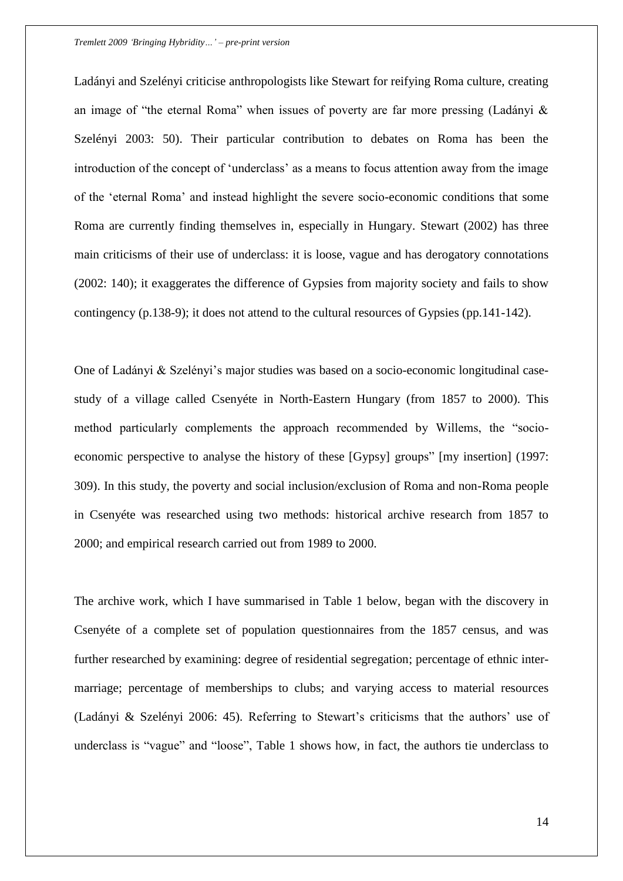Ladányi and Szelényi criticise anthropologists like Stewart for reifying Roma culture, creating an image of "the eternal Roma" when issues of poverty are far more pressing (Ladányi & Szelényi 2003: 50). Their particular contribution to debates on Roma has been the introduction of the concept of 'underclass' as a means to focus attention away from the image of the "eternal Roma" and instead highlight the severe socio-economic conditions that some Roma are currently finding themselves in, especially in Hungary. Stewart (2002) has three main criticisms of their use of underclass: it is loose, vague and has derogatory connotations (2002: 140); it exaggerates the difference of Gypsies from majority society and fails to show contingency (p.138-9); it does not attend to the cultural resources of Gypsies (pp.141-142).

One of Ladányi & Szelényi"s major studies was based on a socio-economic longitudinal casestudy of a village called Csenyéte in North-Eastern Hungary (from 1857 to 2000). This method particularly complements the approach recommended by Willems, the "socioeconomic perspective to analyse the history of these [Gypsy] groups" [my insertion] (1997: 309). In this study, the poverty and social inclusion/exclusion of Roma and non-Roma people in Csenyéte was researched using two methods: historical archive research from 1857 to 2000; and empirical research carried out from 1989 to 2000.

The archive work, which I have summarised in Table 1 below, began with the discovery in Csenyéte of a complete set of population questionnaires from the 1857 census, and was further researched by examining: degree of residential segregation; percentage of ethnic intermarriage; percentage of memberships to clubs; and varying access to material resources (Ladányi & Szelényi 2006: 45). Referring to Stewart"s criticisms that the authors" use of underclass is "vague" and "loose", Table 1 shows how, in fact, the authors tie underclass to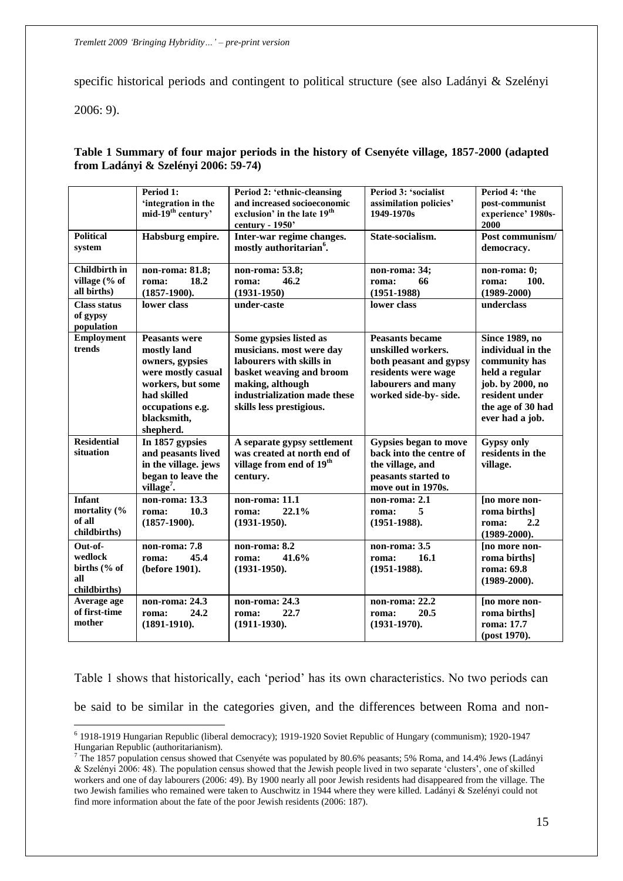specific historical periods and contingent to political structure (see also Ladányi & Szelényi

2006: 9).

 $\overline{a}$ 

## **Table 1 Summary of four major periods in the history of Csenyéte village, 1857-2000 (adapted from Ladányi & Szelényi 2006: 59-74)**

|                                                            | Period 1:<br>'integration in the<br>mid-19 <sup>th</sup> century'                                                                                                | Period 2: 'ethnic-cleansing<br>and increased socioeconomic<br>exclusion' in the late 19 <sup>th</sup><br>century - 1950'                                                                   | Period 3: 'socialist<br>assimilation policies'<br>1949-1970s                                                                                 | Period 4: 'the<br>post-communist<br>experience' 1980s-<br>2000                                                                                              |
|------------------------------------------------------------|------------------------------------------------------------------------------------------------------------------------------------------------------------------|--------------------------------------------------------------------------------------------------------------------------------------------------------------------------------------------|----------------------------------------------------------------------------------------------------------------------------------------------|-------------------------------------------------------------------------------------------------------------------------------------------------------------|
| <b>Political</b><br>system                                 | Habsburg empire.                                                                                                                                                 | Inter-war regime changes.<br>mostly authoritarian <sup>6</sup> .                                                                                                                           | State-socialism.                                                                                                                             | Post communism/<br>democracy.                                                                                                                               |
| <b>Childbirth</b> in<br>village (% of<br>all births)       | non-roma: 81.8;<br>18.2<br>roma:<br>$(1857-1900).$                                                                                                               | non-roma: 53.8;<br>46.2<br>roma:<br>$(1931 - 1950)$                                                                                                                                        | non-roma: 34;<br>66<br>roma:<br>$(1951 - 1988)$                                                                                              | non-roma: 0;<br>100.<br>roma:<br>$(1989 - 2000)$                                                                                                            |
| <b>Class status</b><br>of gypsy<br>population              | lower class                                                                                                                                                      | under-caste                                                                                                                                                                                | lower class                                                                                                                                  | underclass                                                                                                                                                  |
| <b>Employment</b><br>trends                                | <b>Peasants were</b><br>mostly land<br>owners, gypsies<br>were mostly casual<br>workers, but some<br>had skilled<br>occupations e.g.<br>blacksmith,<br>shepherd. | Some gypsies listed as<br>musicians. most were day<br>labourers with skills in<br>basket weaving and broom<br>making, although<br>industrialization made these<br>skills less prestigious. | <b>Peasants became</b><br>unskilled workers.<br>both peasant and gypsy<br>residents were wage<br>labourers and many<br>worked side-by- side. | <b>Since 1989, no</b><br>individual in the<br>community has<br>held a regular<br>job. by 2000, no<br>resident under<br>the age of 30 had<br>ever had a job. |
| <b>Residential</b><br>situation                            | In 1857 gypsies<br>and peasants lived<br>in the village. jews<br>began to leave the<br>village <sup>7</sup> .                                                    | A separate gypsy settlement<br>was created at north end of<br>village from end of 19 <sup>th</sup><br>century.                                                                             | Gypsies began to move<br>back into the centre of<br>the village, and<br>peasants started to<br>move out in 1970s.                            | <b>Gypsy only</b><br>residents in the<br>village.                                                                                                           |
| <b>Infant</b><br>mortality (%<br>of all<br>childbirths)    | non-roma: 13.3<br>10.3<br>roma:<br>$(1857-1900).$                                                                                                                | non-roma: $11.\overline{1}$<br>22.1%<br>roma:<br>$(1931-1950).$                                                                                                                            | non-roma: 2.1<br>5<br>roma:<br>$(1951-1988).$                                                                                                | [no more non-<br>roma births]<br>2.2<br>roma:<br>$(1989 - 2000).$                                                                                           |
| Out-of-<br>wedlock<br>births $%$ of<br>all<br>childbirths) | non-roma: 7.8<br>45.4<br>roma:<br>(before 1901).                                                                                                                 | non-roma: 8.2<br>41.6%<br>roma:<br>$(1931-1950).$                                                                                                                                          | non-roma: 3.5<br>16.1<br>roma:<br>$(1951-1988).$                                                                                             | [no more non-<br>roma births]<br>roma: 69.8<br>$(1989 - 2000).$                                                                                             |
| Average age<br>of first-time<br>mother                     | non-roma: 24.3<br>24.2<br>roma:<br>$(1891-1910).$                                                                                                                | non-roma: 24.3<br>22.7<br>roma:<br>$(1911-1930).$                                                                                                                                          | non-roma: 22.2<br>20.5<br>roma:<br>$(1931 - 1970).$                                                                                          | [no more non-<br>roma births]<br>roma: 17.7<br>(post 1970).                                                                                                 |

Table 1 shows that historically, each "period" has its own characteristics. No two periods can be said to be similar in the categories given, and the differences between Roma and non-

<sup>6</sup> 1918-1919 Hungarian Republic (liberal democracy); 1919-1920 Soviet Republic of Hungary (communism); 1920-1947 Hungarian Republic (authoritarianism).

<sup>&</sup>lt;sup>7</sup> The 1857 population census showed that Csenyéte was populated by 80.6% peasants; 5% Roma, and 14.4% Jews (Ladányi & Szelényi 2006: 48). The population census showed that the Jewish people lived in two separate "clusters", one of skilled workers and one of day labourers (2006: 49). By 1900 nearly all poor Jewish residents had disappeared from the village. The two Jewish families who remained were taken to Auschwitz in 1944 where they were killed. Ladányi & Szelényi could not find more information about the fate of the poor Jewish residents (2006: 187).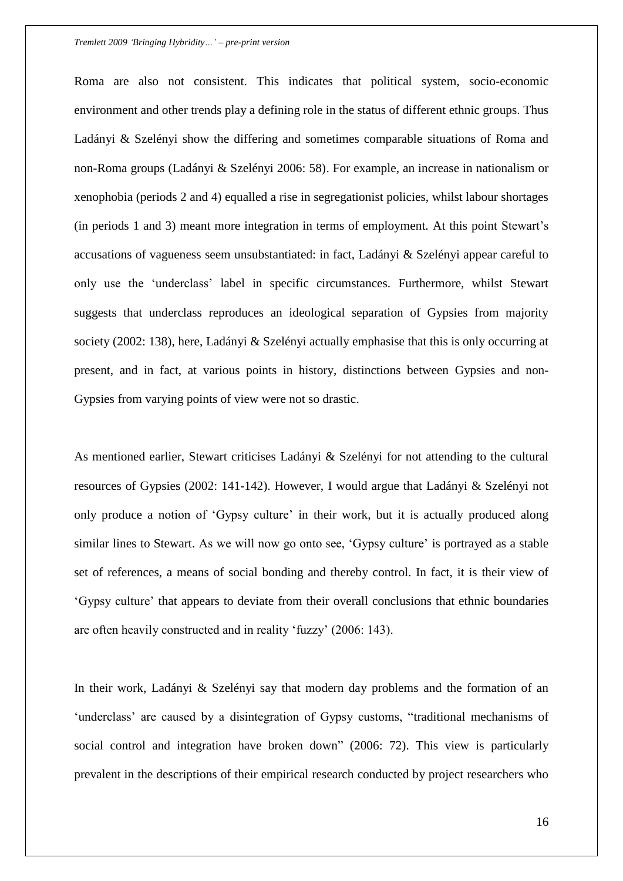Roma are also not consistent. This indicates that political system, socio-economic environment and other trends play a defining role in the status of different ethnic groups. Thus Ladányi & Szelényi show the differing and sometimes comparable situations of Roma and non-Roma groups (Ladányi & Szelényi 2006: 58). For example, an increase in nationalism or xenophobia (periods 2 and 4) equalled a rise in segregationist policies, whilst labour shortages (in periods 1 and 3) meant more integration in terms of employment. At this point Stewart"s accusations of vagueness seem unsubstantiated: in fact, Ladányi & Szelényi appear careful to only use the "underclass" label in specific circumstances. Furthermore, whilst Stewart suggests that underclass reproduces an ideological separation of Gypsies from majority society (2002: 138), here, Ladányi & Szelényi actually emphasise that this is only occurring at present, and in fact, at various points in history, distinctions between Gypsies and non-Gypsies from varying points of view were not so drastic.

As mentioned earlier, Stewart criticises Ladányi & Szelényi for not attending to the cultural resources of Gypsies (2002: 141-142). However, I would argue that Ladányi & Szelényi not only produce a notion of "Gypsy culture" in their work, but it is actually produced along similar lines to Stewart. As we will now go onto see, 'Gypsy culture' is portrayed as a stable set of references, a means of social bonding and thereby control. In fact, it is their view of "Gypsy culture" that appears to deviate from their overall conclusions that ethnic boundaries are often heavily constructed and in reality "fuzzy" (2006: 143).

In their work, Ladányi & Szelényi say that modern day problems and the formation of an 'underclass' are caused by a disintegration of Gypsy customs, "traditional mechanisms of social control and integration have broken down" (2006: 72). This view is particularly prevalent in the descriptions of their empirical research conducted by project researchers who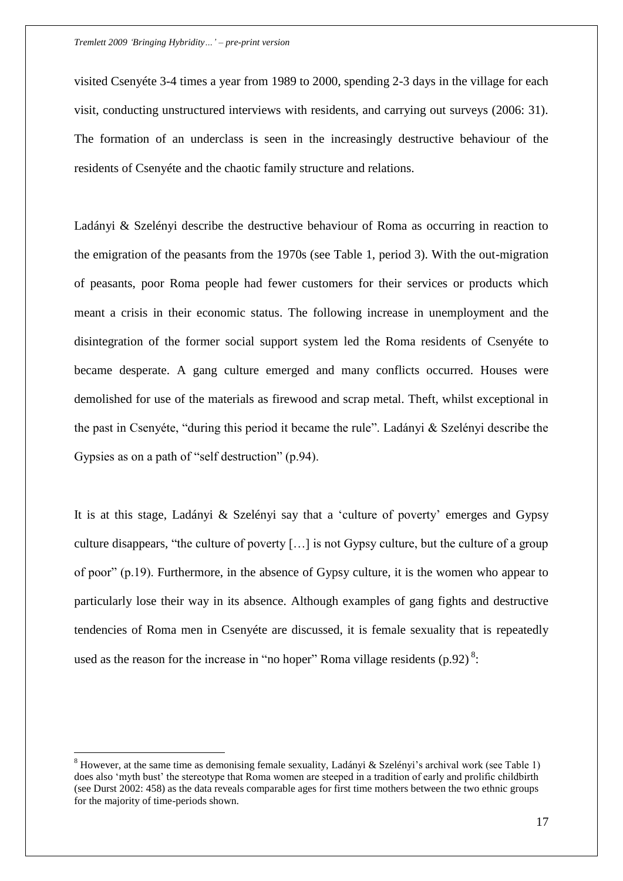visited Csenyéte 3-4 times a year from 1989 to 2000, spending 2-3 days in the village for each visit, conducting unstructured interviews with residents, and carrying out surveys (2006: 31). The formation of an underclass is seen in the increasingly destructive behaviour of the residents of Csenyéte and the chaotic family structure and relations.

Ladányi & Szelényi describe the destructive behaviour of Roma as occurring in reaction to the emigration of the peasants from the 1970s (see Table 1, period 3). With the out-migration of peasants, poor Roma people had fewer customers for their services or products which meant a crisis in their economic status. The following increase in unemployment and the disintegration of the former social support system led the Roma residents of Csenyéte to became desperate. A gang culture emerged and many conflicts occurred. Houses were demolished for use of the materials as firewood and scrap metal. Theft, whilst exceptional in the past in Csenyéte, "during this period it became the rule". Ladányi & Szelényi describe the Gypsies as on a path of "self destruction" (p.94).

It is at this stage, Ladányi & Szelényi say that a "culture of poverty" emerges and Gypsy culture disappears, "the culture of poverty […] is not Gypsy culture, but the culture of a group of poor" (p.19). Furthermore, in the absence of Gypsy culture, it is the women who appear to particularly lose their way in its absence. Although examples of gang fights and destructive tendencies of Roma men in Csenyéte are discussed, it is female sexuality that is repeatedly used as the reason for the increase in "no hoper" Roma village residents (p.92)<sup>8</sup>:

 $\overline{a}$ 

<sup>&</sup>lt;sup>8</sup> However, at the same time as demonising female sexuality, Ladányi & Szelényi's archival work (see Table 1) does also 'myth bust' the stereotype that Roma women are steeped in a tradition of early and prolific childbirth (see Durst 2002: 458) as the data reveals comparable ages for first time mothers between the two ethnic groups for the majority of time-periods shown.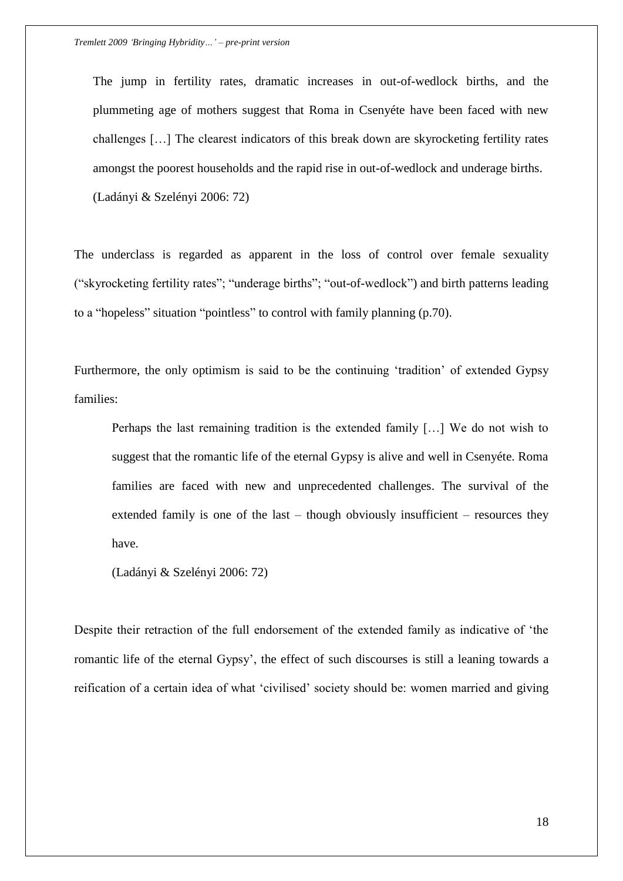The jump in fertility rates, dramatic increases in out-of-wedlock births, and the plummeting age of mothers suggest that Roma in Csenyéte have been faced with new challenges […] The clearest indicators of this break down are skyrocketing fertility rates amongst the poorest households and the rapid rise in out-of-wedlock and underage births. (Ladányi & Szelényi 2006: 72)

The underclass is regarded as apparent in the loss of control over female sexuality ("skyrocketing fertility rates"; "underage births"; "out-of-wedlock") and birth patterns leading to a "hopeless" situation "pointless" to control with family planning (p.70).

Furthermore, the only optimism is said to be the continuing "tradition" of extended Gypsy families:

Perhaps the last remaining tradition is the extended family […] We do not wish to suggest that the romantic life of the eternal Gypsy is alive and well in Csenyéte. Roma families are faced with new and unprecedented challenges. The survival of the extended family is one of the last – though obviously insufficient – resources they have.

(Ladányi & Szelényi 2006: 72)

Despite their retraction of the full endorsement of the extended family as indicative of "the romantic life of the eternal Gypsy", the effect of such discourses is still a leaning towards a reification of a certain idea of what "civilised" society should be: women married and giving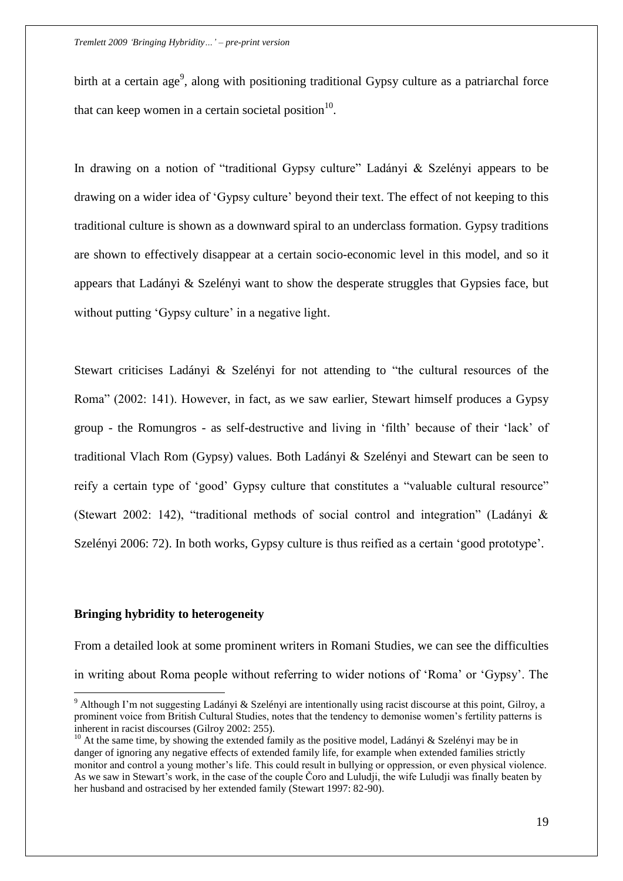birth at a certain age<sup>9</sup>, along with positioning traditional Gypsy culture as a patriarchal force that can keep women in a certain societal position $10$ .

In drawing on a notion of "traditional Gypsy culture" Ladányi & Szelényi appears to be drawing on a wider idea of "Gypsy culture" beyond their text. The effect of not keeping to this traditional culture is shown as a downward spiral to an underclass formation. Gypsy traditions are shown to effectively disappear at a certain socio-economic level in this model, and so it appears that Ladányi & Szelényi want to show the desperate struggles that Gypsies face, but without putting 'Gypsy culture' in a negative light.

Stewart criticises Ladányi & Szelényi for not attending to "the cultural resources of the Roma" (2002: 141). However, in fact, as we saw earlier, Stewart himself produces a Gypsy group - the Romungros - as self-destructive and living in "filth" because of their "lack" of traditional Vlach Rom (Gypsy) values. Both Ladányi & Szelényi and Stewart can be seen to reify a certain type of "good" Gypsy culture that constitutes a "valuable cultural resource" (Stewart 2002: 142), "traditional methods of social control and integration" (Ladányi & Szelényi 2006: 72). In both works, Gypsy culture is thus reified as a certain "good prototype".

#### **Bringing hybridity to heterogeneity**

 $\overline{a}$ 

From a detailed look at some prominent writers in Romani Studies, we can see the difficulties in writing about Roma people without referring to wider notions of "Roma" or "Gypsy". The

<sup>9</sup> Although I"m not suggesting Ladányi & Szelényi are intentionally using racist discourse at this point, Gilroy, a prominent voice from British Cultural Studies, notes that the tendency to demonise women"s fertility patterns is inherent in racist discourses (Gilroy 2002: 255).

<sup>&</sup>lt;sup>10</sup> At the same time, by showing the extended family as the positive model, Ladányi & Szelényi may be in danger of ignoring any negative effects of extended family life, for example when extended families strictly monitor and control a young mother"s life. This could result in bullying or oppression, or even physical violence. As we saw in Stewart"s work, in the case of the couple Čoro and Luludji, the wife Luludji was finally beaten by her husband and ostracised by her extended family (Stewart 1997: 82-90).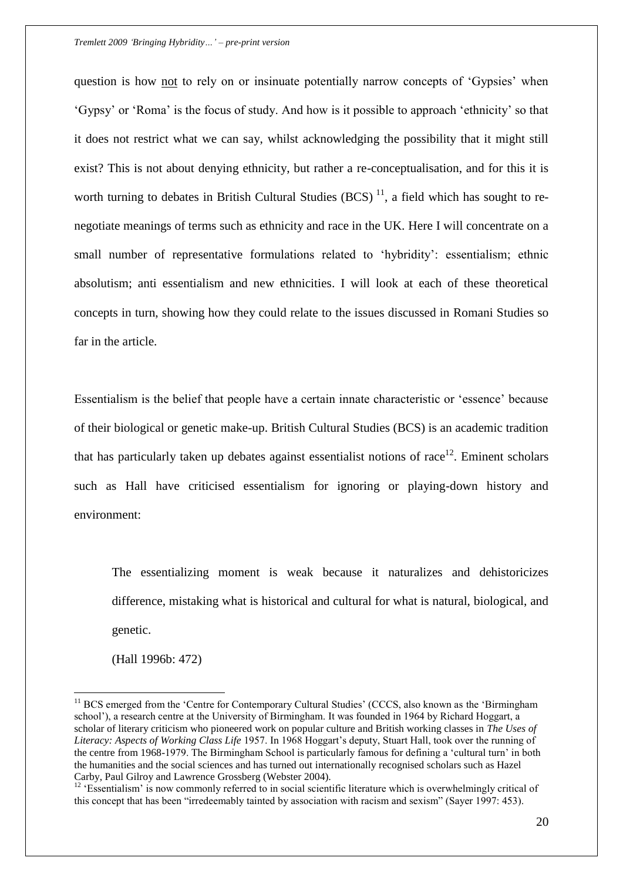question is how not to rely on or insinuate potentially narrow concepts of "Gypsies" when "Gypsy" or "Roma" is the focus of study. And how is it possible to approach "ethnicity" so that it does not restrict what we can say, whilst acknowledging the possibility that it might still exist? This is not about denying ethnicity, but rather a re-conceptualisation, and for this it is worth turning to debates in British Cultural Studies (BCS)<sup>11</sup>, a field which has sought to renegotiate meanings of terms such as ethnicity and race in the UK. Here I will concentrate on a small number of representative formulations related to 'hybridity': essentialism; ethnic absolutism; anti essentialism and new ethnicities. I will look at each of these theoretical concepts in turn, showing how they could relate to the issues discussed in Romani Studies so far in the article.

Essentialism is the belief that people have a certain innate characteristic or "essence" because of their biological or genetic make-up. British Cultural Studies (BCS) is an academic tradition that has particularly taken up debates against essentialist notions of race $12$ . Eminent scholars such as Hall have criticised essentialism for ignoring or playing-down history and environment:

The essentializing moment is weak because it naturalizes and dehistoricizes difference, mistaking what is historical and cultural for what is natural, biological, and genetic.

(Hall 1996b: 472)

 $\overline{a}$ 

<sup>&</sup>lt;sup>11</sup> BCS emerged from the 'Centre for Contemporary Cultural Studies' (CCCS, also known as the 'Birmingham school"), a research centre at the University of Birmingham. It was founded in 1964 by Richard Hoggart, a scholar of literary criticism who pioneered work on popular culture and British working classes in *The Uses of*  Literacy: Aspects of Working Class Life 1957. In 1968 Hoggart's deputy, Stuart Hall, took over the running of the centre from 1968-1979. The Birmingham School is particularly famous for defining a "cultural turn" in both the humanities and the social sciences and has turned out internationally recognised scholars such as Hazel Carby, Paul Gilroy and Lawrence Grossberg (Webster 2004).

 $12$  'Essentialism' is now commonly referred to in social scientific literature which is overwhelmingly critical of this concept that has been "irredeemably tainted by association with racism and sexism" (Sayer 1997: 453).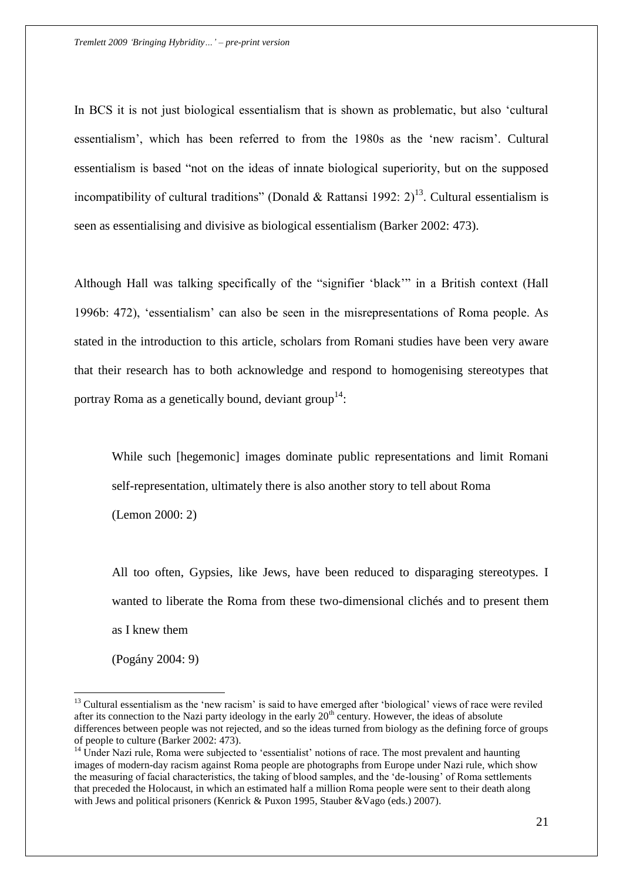In BCS it is not just biological essentialism that is shown as problematic, but also "cultural essentialism", which has been referred to from the 1980s as the "new racism". Cultural essentialism is based "not on the ideas of innate biological superiority, but on the supposed incompatibility of cultural traditions" (Donald & Rattansi 1992:  $2)^{13}$ . Cultural essentialism is seen as essentialising and divisive as biological essentialism (Barker 2002: 473).

Although Hall was talking specifically of the "signifier "black"" in a British context (Hall 1996b: 472), "essentialism" can also be seen in the misrepresentations of Roma people. As stated in the introduction to this article, scholars from Romani studies have been very aware that their research has to both acknowledge and respond to homogenising stereotypes that portray Roma as a genetically bound, deviant  $group^{14}$ :

While such [hegemonic] images dominate public representations and limit Romani self-representation, ultimately there is also another story to tell about Roma (Lemon 2000: 2)

All too often, Gypsies, like Jews, have been reduced to disparaging stereotypes. I wanted to liberate the Roma from these two-dimensional clichés and to present them as I knew them

(Pogány 2004: 9)

 $\overline{a}$ 

 $13$  Cultural essentialism as the 'new racism' is said to have emerged after 'biological' views of race were reviled after its connection to the Nazi party ideology in the early  $20<sup>th</sup>$  century. However, the ideas of absolute differences between people was not rejected, and so the ideas turned from biology as the defining force of groups of people to culture (Barker 2002: 473).

 $<sup>14</sup>$  Under Nazi rule, Roma were subjected to 'essentialist' notions of race. The most prevalent and haunting</sup> images of modern-day racism against Roma people are photographs from Europe under Nazi rule, which show the measuring of facial characteristics, the taking of blood samples, and the "de-lousing" of Roma settlements that preceded the Holocaust, in which an estimated half a million Roma people were sent to their death along with Jews and political prisoners (Kenrick & Puxon 1995, Stauber &Vago (eds.) 2007).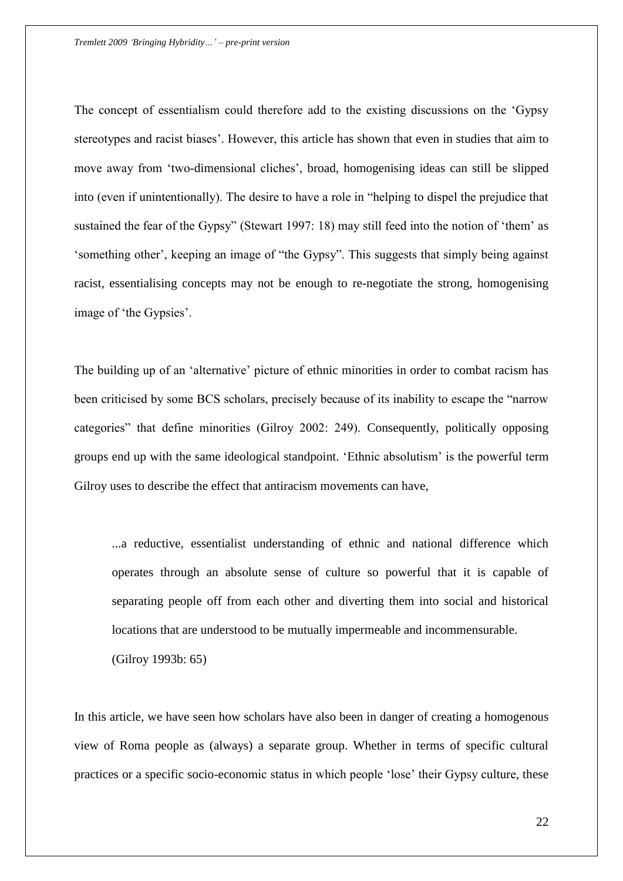The concept of essentialism could therefore add to the existing discussions on the "Gypsy stereotypes and racist biases". However, this article has shown that even in studies that aim to move away from "two-dimensional cliches", broad, homogenising ideas can still be slipped into (even if unintentionally). The desire to have a role in "helping to dispel the prejudice that sustained the fear of the Gypsy" (Stewart 1997: 18) may still feed into the notion of "them" as "something other", keeping an image of "the Gypsy". This suggests that simply being against racist, essentialising concepts may not be enough to re-negotiate the strong, homogenising image of 'the Gypsies'.

The building up of an 'alternative' picture of ethnic minorities in order to combat racism has been criticised by some BCS scholars, precisely because of its inability to escape the "narrow categories" that define minorities (Gilroy 2002: 249). Consequently, politically opposing groups end up with the same ideological standpoint. "Ethnic absolutism" is the powerful term Gilroy uses to describe the effect that antiracism movements can have,

...a reductive, essentialist understanding of ethnic and national difference which operates through an absolute sense of culture so powerful that it is capable of separating people off from each other and diverting them into social and historical locations that are understood to be mutually impermeable and incommensurable.

(Gilroy 1993b: 65)

In this article, we have seen how scholars have also been in danger of creating a homogenous view of Roma people as (always) a separate group. Whether in terms of specific cultural practices or a specific socio-economic status in which people "lose" their Gypsy culture, these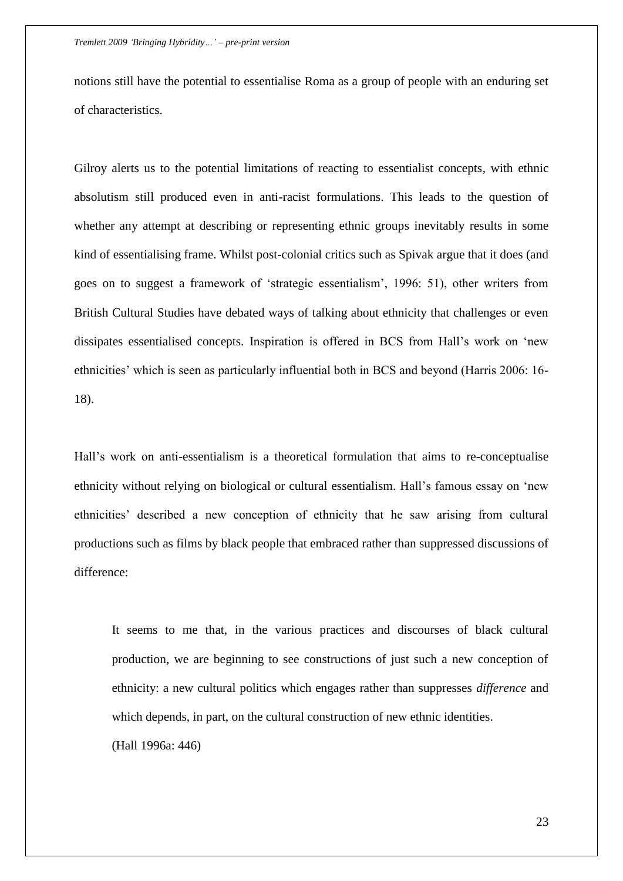notions still have the potential to essentialise Roma as a group of people with an enduring set of characteristics.

Gilroy alerts us to the potential limitations of reacting to essentialist concepts, with ethnic absolutism still produced even in anti-racist formulations. This leads to the question of whether any attempt at describing or representing ethnic groups inevitably results in some kind of essentialising frame. Whilst post-colonial critics such as Spivak argue that it does (and goes on to suggest a framework of "strategic essentialism", 1996: 51), other writers from British Cultural Studies have debated ways of talking about ethnicity that challenges or even dissipates essentialised concepts. Inspiration is offered in BCS from Hall"s work on "new ethnicities' which is seen as particularly influential both in BCS and beyond (Harris 2006: 16-18).

Hall"s work on anti-essentialism is a theoretical formulation that aims to re-conceptualise ethnicity without relying on biological or cultural essentialism. Hall"s famous essay on "new ethnicities" described a new conception of ethnicity that he saw arising from cultural productions such as films by black people that embraced rather than suppressed discussions of difference:

It seems to me that, in the various practices and discourses of black cultural production, we are beginning to see constructions of just such a new conception of ethnicity: a new cultural politics which engages rather than suppresses *difference* and which depends, in part, on the cultural construction of new ethnic identities. (Hall 1996a: 446)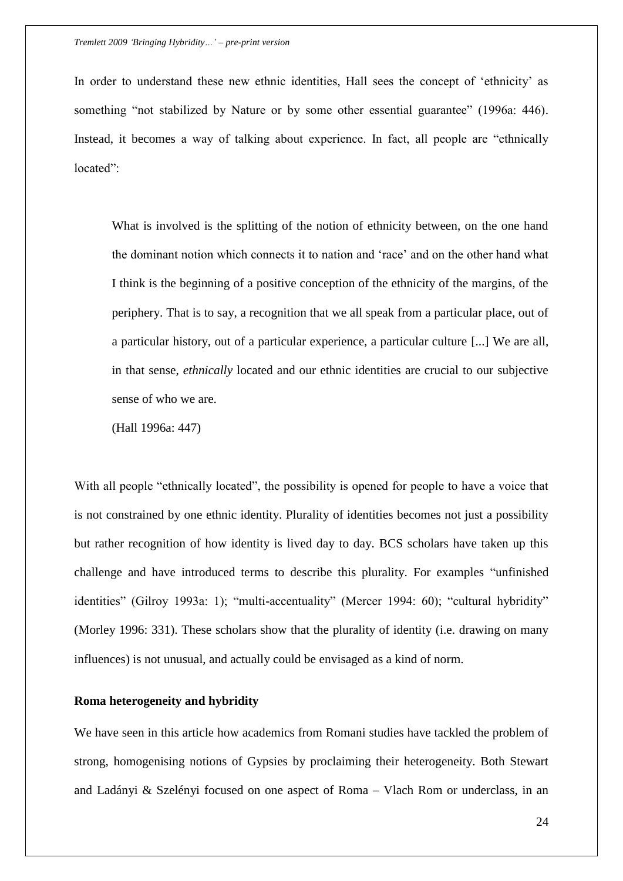In order to understand these new ethnic identities, Hall sees the concept of "ethnicity" as something "not stabilized by Nature or by some other essential guarantee" (1996a: 446). Instead, it becomes a way of talking about experience. In fact, all people are "ethnically located":

What is involved is the splitting of the notion of ethnicity between, on the one hand the dominant notion which connects it to nation and "race" and on the other hand what I think is the beginning of a positive conception of the ethnicity of the margins, of the periphery. That is to say, a recognition that we all speak from a particular place, out of a particular history, out of a particular experience, a particular culture [...] We are all, in that sense, *ethnically* located and our ethnic identities are crucial to our subjective sense of who we are.

(Hall 1996a: 447)

With all people "ethnically located", the possibility is opened for people to have a voice that is not constrained by one ethnic identity. Plurality of identities becomes not just a possibility but rather recognition of how identity is lived day to day. BCS scholars have taken up this challenge and have introduced terms to describe this plurality. For examples "unfinished identities" (Gilroy 1993a: 1); "multi-accentuality" (Mercer 1994: 60); "cultural hybridity" (Morley 1996: 331). These scholars show that the plurality of identity (i.e. drawing on many influences) is not unusual, and actually could be envisaged as a kind of norm.

### **Roma heterogeneity and hybridity**

We have seen in this article how academics from Romani studies have tackled the problem of strong, homogenising notions of Gypsies by proclaiming their heterogeneity. Both Stewart and Ladányi & Szelényi focused on one aspect of Roma – Vlach Rom or underclass, in an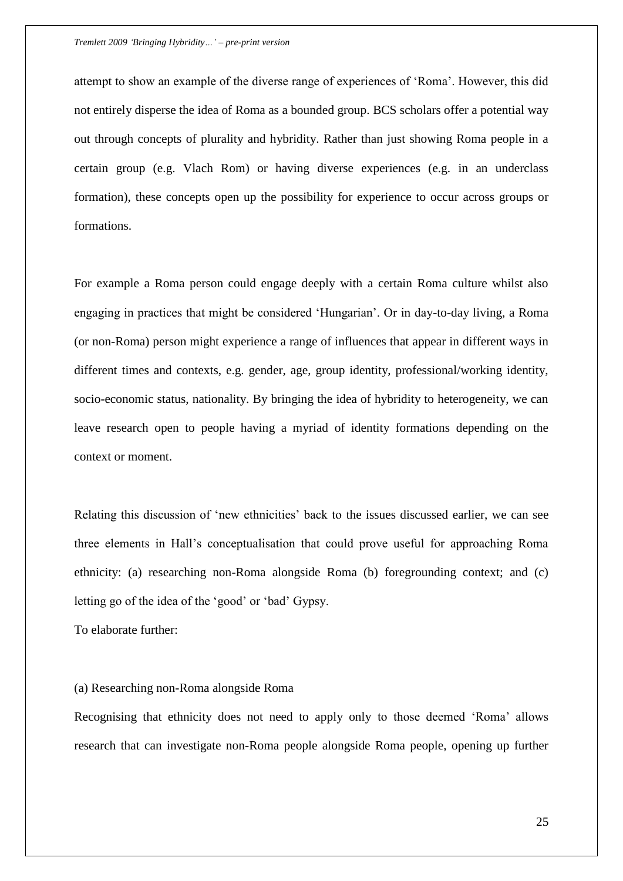attempt to show an example of the diverse range of experiences of "Roma". However, this did not entirely disperse the idea of Roma as a bounded group. BCS scholars offer a potential way out through concepts of plurality and hybridity. Rather than just showing Roma people in a certain group (e.g. Vlach Rom) or having diverse experiences (e.g. in an underclass formation), these concepts open up the possibility for experience to occur across groups or formations.

For example a Roma person could engage deeply with a certain Roma culture whilst also engaging in practices that might be considered "Hungarian". Or in day-to-day living, a Roma (or non-Roma) person might experience a range of influences that appear in different ways in different times and contexts, e.g. gender, age, group identity, professional/working identity, socio-economic status, nationality. By bringing the idea of hybridity to heterogeneity, we can leave research open to people having a myriad of identity formations depending on the context or moment.

Relating this discussion of "new ethnicities" back to the issues discussed earlier, we can see three elements in Hall"s conceptualisation that could prove useful for approaching Roma ethnicity: (a) researching non-Roma alongside Roma (b) foregrounding context; and (c) letting go of the idea of the 'good' or 'bad' Gypsy.

To elaborate further:

### (a) Researching non-Roma alongside Roma

Recognising that ethnicity does not need to apply only to those deemed "Roma" allows research that can investigate non-Roma people alongside Roma people, opening up further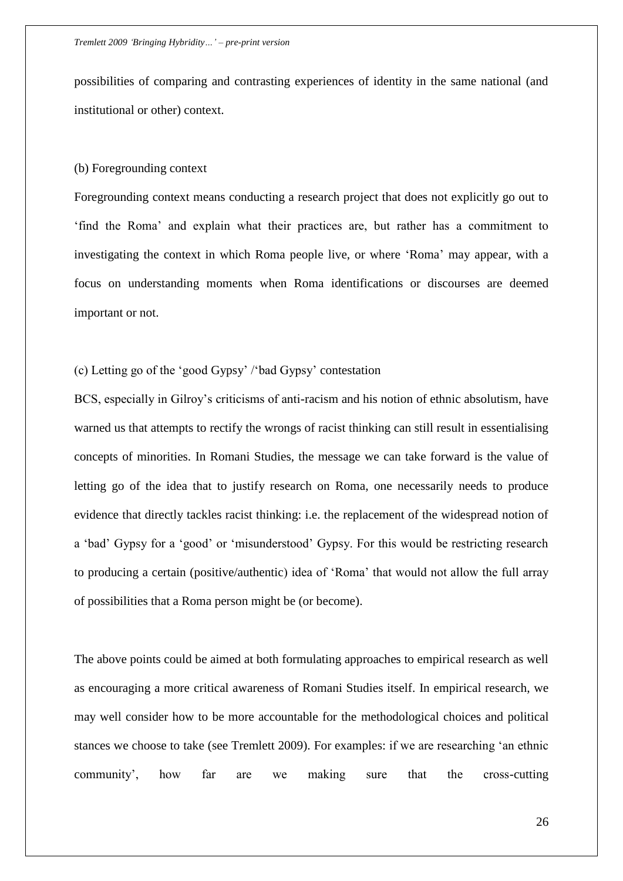possibilities of comparing and contrasting experiences of identity in the same national (and institutional or other) context.

### (b) Foregrounding context

Foregrounding context means conducting a research project that does not explicitly go out to "find the Roma" and explain what their practices are, but rather has a commitment to investigating the context in which Roma people live, or where "Roma" may appear, with a focus on understanding moments when Roma identifications or discourses are deemed important or not.

(c) Letting go of the "good Gypsy" /"bad Gypsy" contestation

BCS, especially in Gilroy"s criticisms of anti-racism and his notion of ethnic absolutism, have warned us that attempts to rectify the wrongs of racist thinking can still result in essentialising concepts of minorities. In Romani Studies, the message we can take forward is the value of letting go of the idea that to justify research on Roma, one necessarily needs to produce evidence that directly tackles racist thinking: i.e. the replacement of the widespread notion of a "bad" Gypsy for a "good" or "misunderstood" Gypsy. For this would be restricting research to producing a certain (positive/authentic) idea of "Roma" that would not allow the full array of possibilities that a Roma person might be (or become).

The above points could be aimed at both formulating approaches to empirical research as well as encouraging a more critical awareness of Romani Studies itself. In empirical research, we may well consider how to be more accountable for the methodological choices and political stances we choose to take (see Tremlett 2009). For examples: if we are researching "an ethnic community", how far are we making sure that the cross-cutting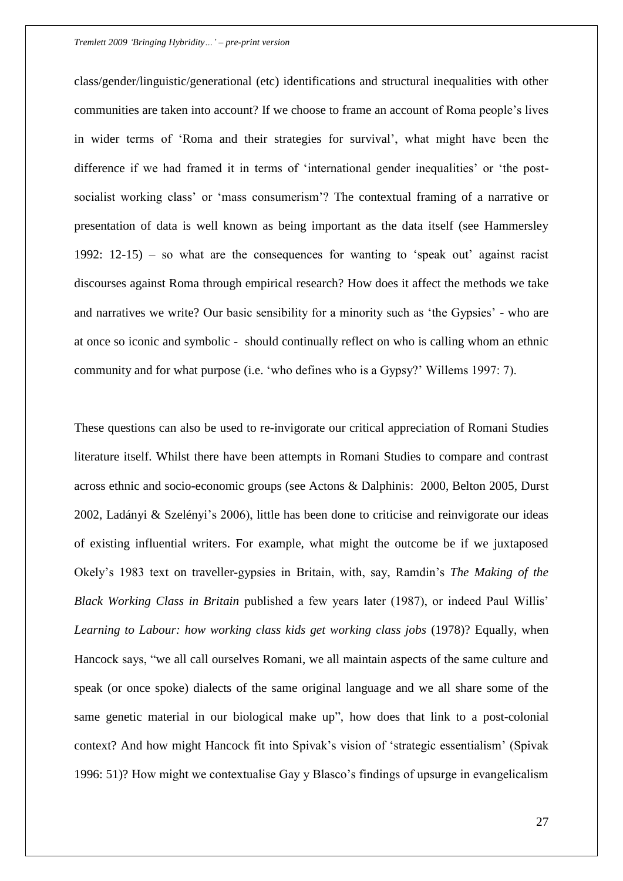class/gender/linguistic/generational (etc) identifications and structural inequalities with other communities are taken into account? If we choose to frame an account of Roma people"s lives in wider terms of "Roma and their strategies for survival", what might have been the difference if we had framed it in terms of 'international gender inequalities' or 'the postsocialist working class' or 'mass consumerism'? The contextual framing of a narrative or presentation of data is well known as being important as the data itself (see Hammersley 1992:  $12-15$ ) – so what are the consequences for wanting to 'speak out' against racist discourses against Roma through empirical research? How does it affect the methods we take and narratives we write? Our basic sensibility for a minority such as "the Gypsies" - who are at once so iconic and symbolic - should continually reflect on who is calling whom an ethnic community and for what purpose (i.e. "who defines who is a Gypsy?" Willems 1997: 7).

These questions can also be used to re-invigorate our critical appreciation of Romani Studies literature itself. Whilst there have been attempts in Romani Studies to compare and contrast across ethnic and socio-economic groups (see Actons & Dalphinis: 2000, Belton 2005, Durst 2002, Ladányi & Szelényi"s 2006), little has been done to criticise and reinvigorate our ideas of existing influential writers. For example, what might the outcome be if we juxtaposed Okely"s 1983 text on traveller-gypsies in Britain, with, say, Ramdin"s *The Making of the Black Working Class in Britain* published a few years later (1987), or indeed Paul Willis" *Learning to Labour: how working class kids get working class jobs* (1978)? Equally, when Hancock says, "we all call ourselves Romani, we all maintain aspects of the same culture and speak (or once spoke) dialects of the same original language and we all share some of the same genetic material in our biological make up", how does that link to a post-colonial context? And how might Hancock fit into Spivak's vision of 'strategic essentialism' (Spivak 1996: 51)? How might we contextualise Gay y Blasco"s findings of upsurge in evangelicalism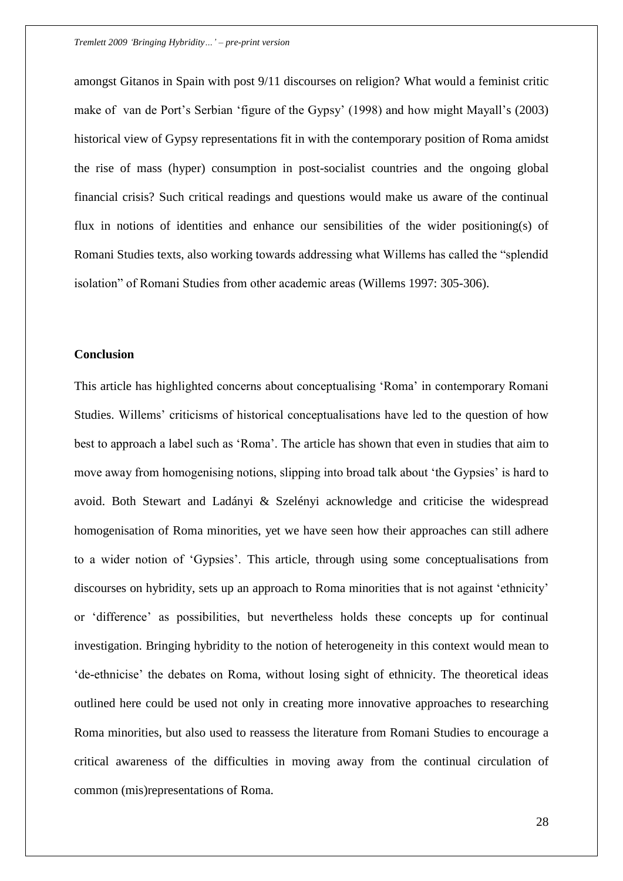amongst Gitanos in Spain with post 9/11 discourses on religion? What would a feminist critic make of van de Port"s Serbian "figure of the Gypsy" (1998) and how might Mayall"s (2003) historical view of Gypsy representations fit in with the contemporary position of Roma amidst the rise of mass (hyper) consumption in post-socialist countries and the ongoing global financial crisis? Such critical readings and questions would make us aware of the continual flux in notions of identities and enhance our sensibilities of the wider positioning(s) of Romani Studies texts, also working towards addressing what Willems has called the "splendid isolation" of Romani Studies from other academic areas (Willems 1997: 305-306).

## **Conclusion**

This article has highlighted concerns about conceptualising "Roma" in contemporary Romani Studies. Willems' criticisms of historical conceptualisations have led to the question of how best to approach a label such as "Roma". The article has shown that even in studies that aim to move away from homogenising notions, slipping into broad talk about "the Gypsies" is hard to avoid. Both Stewart and Ladányi & Szelényi acknowledge and criticise the widespread homogenisation of Roma minorities, yet we have seen how their approaches can still adhere to a wider notion of "Gypsies". This article, through using some conceptualisations from discourses on hybridity, sets up an approach to Roma minorities that is not against 'ethnicity' or "difference" as possibilities, but nevertheless holds these concepts up for continual investigation. Bringing hybridity to the notion of heterogeneity in this context would mean to "de-ethnicise" the debates on Roma, without losing sight of ethnicity. The theoretical ideas outlined here could be used not only in creating more innovative approaches to researching Roma minorities, but also used to reassess the literature from Romani Studies to encourage a critical awareness of the difficulties in moving away from the continual circulation of common (mis)representations of Roma.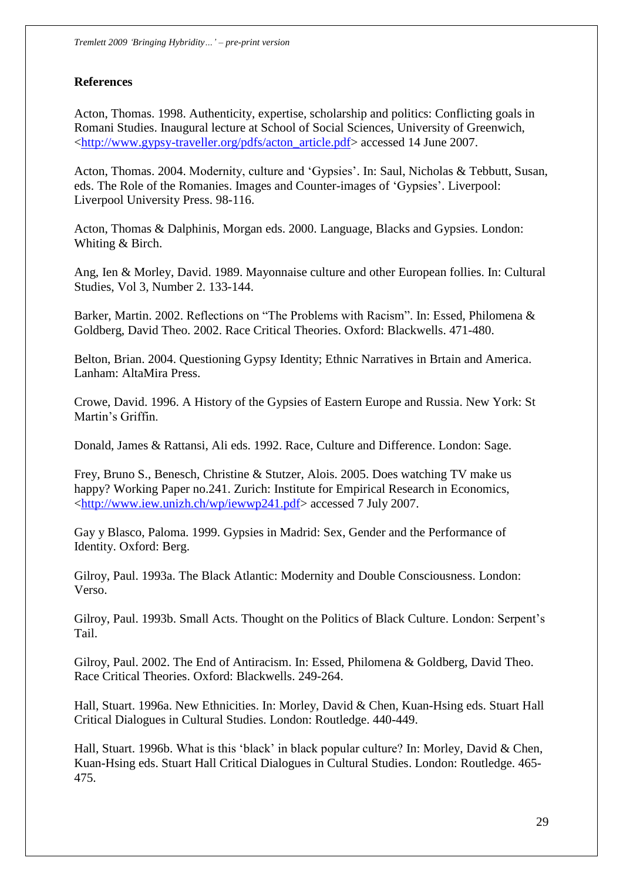## **References**

Acton, Thomas. 1998. Authenticity, expertise, scholarship and politics: Conflicting goals in Romani Studies. Inaugural lecture at School of Social Sciences, University of Greenwich, [<http://www.gypsy-traveller.org/pdfs/acton\\_article.pdf>](http://www.gypsy-traveller.org/pdfs/acton_article.pdf) accessed 14 June 2007.

Acton, Thomas. 2004. Modernity, culture and 'Gypsies'. In: Saul, Nicholas & Tebbutt, Susan, eds. The Role of the Romanies. Images and Counter-images of "Gypsies". Liverpool: Liverpool University Press. 98-116.

Acton, Thomas & Dalphinis, Morgan eds. 2000. Language, Blacks and Gypsies. London: Whiting & Birch.

Ang, Ien & Morley, David. 1989. Mayonnaise culture and other European follies. In: Cultural Studies, Vol 3, Number 2. 133-144.

Barker, Martin. 2002. Reflections on "The Problems with Racism". In: Essed, Philomena & Goldberg, David Theo. 2002. Race Critical Theories. Oxford: Blackwells. 471-480.

Belton, Brian. 2004. Questioning Gypsy Identity; Ethnic Narratives in Brtain and America. Lanham: AltaMira Press.

Crowe, David. 1996. A History of the Gypsies of Eastern Europe and Russia. New York: St Martin"s Griffin.

Donald, James & Rattansi, Ali eds. 1992. Race, Culture and Difference. London: Sage.

Frey, Bruno S., Benesch, Christine & Stutzer, Alois. 2005. Does watching TV make us happy? Working Paper no.241. Zurich: Institute for Empirical Research in Economics, [<http://www.iew.unizh.ch/wp/iewwp241.pdf>](http://www.iew.unizh.ch/wp/iewwp241.pdf) accessed 7 July 2007.

Gay y Blasco, Paloma. 1999. Gypsies in Madrid: Sex, Gender and the Performance of Identity. Oxford: Berg.

Gilroy, Paul. 1993a. The Black Atlantic: Modernity and Double Consciousness. London: Verso.

Gilroy, Paul. 1993b. Small Acts. Thought on the Politics of Black Culture. London: Serpent"s Tail.

Gilroy, Paul. 2002. The End of Antiracism. In: Essed, Philomena & Goldberg, David Theo. Race Critical Theories. Oxford: Blackwells. 249-264.

Hall, Stuart. 1996a. New Ethnicities. In: Morley, David & Chen, Kuan-Hsing eds. Stuart Hall Critical Dialogues in Cultural Studies. London: Routledge. 440-449.

Hall, Stuart. 1996b. What is this 'black' in black popular culture? In: Morley, David & Chen, Kuan-Hsing eds. Stuart Hall Critical Dialogues in Cultural Studies. London: Routledge. 465- 475.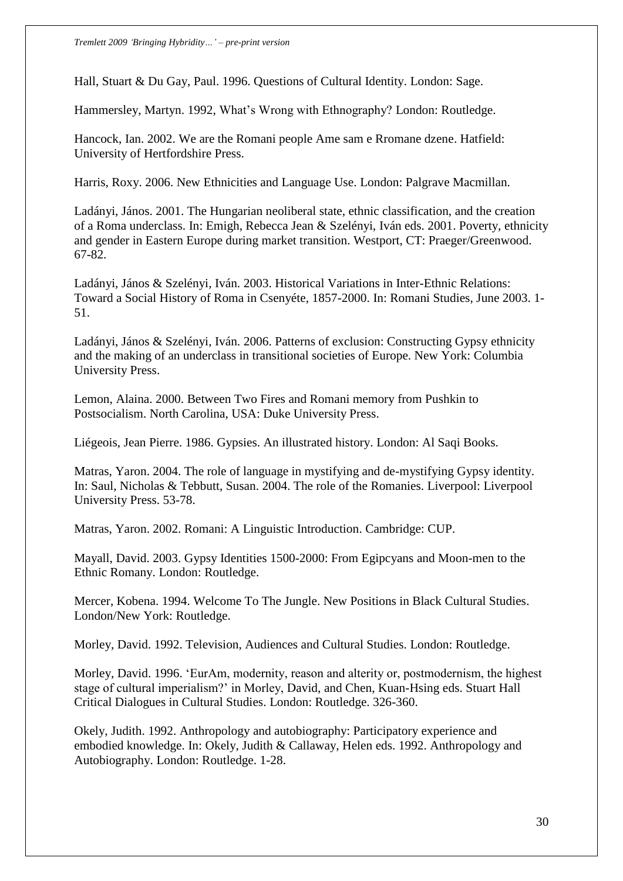Hall, Stuart & Du Gay, Paul. 1996. Questions of Cultural Identity. London: Sage.

Hammersley, Martyn. 1992, What"s Wrong with Ethnography? London: Routledge.

Hancock, Ian. 2002. We are the Romani people Ame sam e Rromane dzene. Hatfield: University of Hertfordshire Press.

Harris, Roxy. 2006. New Ethnicities and Language Use. London: Palgrave Macmillan.

Ladányi, János. 2001. The Hungarian neoliberal state, ethnic classification, and the creation of a Roma underclass. In: Emigh, Rebecca Jean & Szelényi, Iván eds. 2001. Poverty, ethnicity and gender in Eastern Europe during market transition. Westport, CT: Praeger/Greenwood. 67-82.

Ladányi, János & Szelényi, Iván. 2003. Historical Variations in Inter-Ethnic Relations: Toward a Social History of Roma in Csenyéte, 1857-2000. In: Romani Studies, June 2003. 1- 51.

Ladányi, János & Szelényi, Iván. 2006. Patterns of exclusion: Constructing Gypsy ethnicity and the making of an underclass in transitional societies of Europe. New York: Columbia University Press.

Lemon, Alaina. 2000. Between Two Fires and Romani memory from Pushkin to Postsocialism. North Carolina, USA: Duke University Press.

Liégeois, Jean Pierre. 1986. Gypsies. An illustrated history. London: Al Saqi Books.

Matras, Yaron. 2004. The role of language in mystifying and de-mystifying Gypsy identity. In: Saul, Nicholas & Tebbutt, Susan. 2004. The role of the Romanies. Liverpool: Liverpool University Press. 53-78.

Matras, Yaron. 2002. Romani: A Linguistic Introduction. Cambridge: CUP.

Mayall, David. 2003. Gypsy Identities 1500-2000: From Egipcyans and Moon-men to the Ethnic Romany. London: Routledge.

Mercer, Kobena. 1994. Welcome To The Jungle. New Positions in Black Cultural Studies. London/New York: Routledge.

Morley, David. 1992. Television, Audiences and Cultural Studies. London: Routledge.

Morley, David. 1996. "EurAm, modernity, reason and alterity or, postmodernism, the highest stage of cultural imperialism?" in Morley, David, and Chen, Kuan-Hsing eds. Stuart Hall Critical Dialogues in Cultural Studies. London: Routledge. 326-360.

Okely, Judith. 1992. Anthropology and autobiography: Participatory experience and embodied knowledge. In: Okely, Judith & Callaway, Helen eds. 1992. Anthropology and Autobiography. London: Routledge. 1-28.